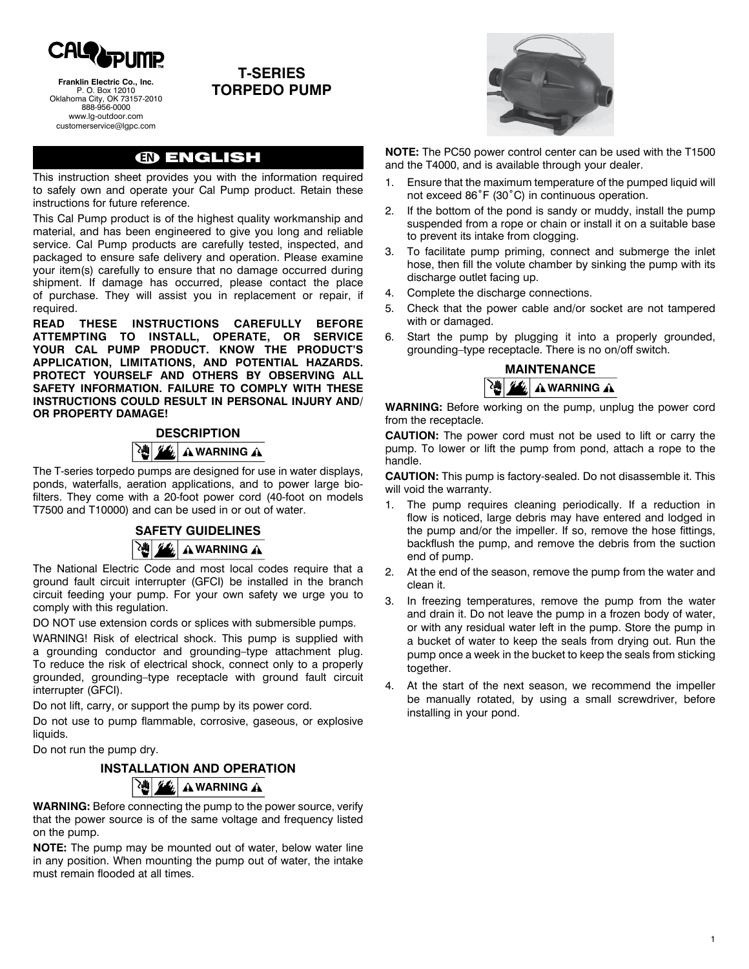

**Franklin Electric Co., Inc.** P. O. Box 12010 Oklahoma City, OK 73157-2010 888-956-0000 www.lg-outdoor.com customerservice@lgpc.com

## **t-series torpedo pump**

## **EN** ENGLISH

This instruction sheet provides you with the information required to safely own and operate your Cal Pump product. Retain these instructions for future reference.

This Cal Pump product is of the highest quality workmanship and material, and has been engineered to give you long and reliable service. Cal Pump products are carefully tested, inspected, and packaged to ensure safe delivery and operation. Please examine your item(s) carefully to ensure that no damage occurred during shipment. If damage has occurred, please contact the place of purchase. They will assist you in replacement or repair, if required.

**READ THESE INSTRUCTIONS CAREFULLY BEFO ATTEMPTING TO INSTALL, OPERATE, OR SERVICE YOUR Cal Pump PRODUCT. KNOW THE PRODUCT'S APPLICATION, LIMITATIONS, AND POTENTIAL HAZARDS. PROTECT YOURSELF AND OTHERS BY OBSERVING ALL SAFETY INFORMATION. FAILURE TO COMPLY WITH THESE INSTRUCTIONS COULD RESULT IN PERSONAL INJURY AND/ OR PROPERTY DAMAGE!**

# **DESCRIPTION WARNING** A

The T-series torpedo pumps are designed for use in water displays, ponds, waterfalls, aeration applications, and to power large biofilters. They come with a 20-foot power cord (40-foot on models T7500 and T10000) and can be used in or out of water.

# **SAFETY GUIDELINES A WARNING A**

The National Electric Code and most local codes require that a ground fault circuit interrupter (GFCI) be installed in the branch circuit feeding your pump. For your own safety we urge you to comply with this regulation.

DO NOT use extension cords or splices with submersible pumps.

WARNING! Risk of electrical shock. This pump is supplied with a grounding conductor and grounding–type attachment plug. To reduce the risk of electrical shock, connect only to a properly grounded, grounding–type receptacle with ground fault circuit interrupter (GFCI).

Do not lift, carry, or support the pump by its power cord.

Do not use to pump flammable, corrosive, gaseous, or explosive liquids.

Do not run the pump dry.

# **INSTALLATION and operation WARNING** A

**WARNING:** Before connecting the pump to the power source, verify that the power source is of the same voltage and frequency listed on the pump.

**NOTE:** The pump may be mounted out of water, below water line in any position. When mounting the pump out of water, the intake must remain flooded at all times.



**NOTE:** The PC50 power control center can be used with the T1500 and the T4000, and is available through your dealer.

- 1. Ensure that the maximum temperature of the pumped liquid will not exceed 86˚F (30˚C) in continuous operation.
- 2. If the bottom of the pond is sandy or muddy, install the pump suspended from a rope or chain or install it on a suitable base to prevent its intake from clogging.
- 3. To facilitate pump priming, connect and submerge the inlet hose, then fill the volute chamber by sinking the pump with its discharge outlet facing up.
- 4. Complete the discharge connections.
- 5. Check that the power cable and/or socket are not tampered with or damaged.
- 6. Start the pump by plugging it into a properly grounded, grounding–type receptacle. There is no on/off switch.



**WARNING:** Before working on the pump, unplug the power cord from the receptacle.

**CAUTION:** The power cord must not be used to lift or carry the pump. To lower or lift the pump from pond, attach a rope to the handle.

**CAUTION:** This pump is factory-sealed. Do not disassemble it. This will void the warranty.

- 1. The pump requires cleaning periodically. If a reduction in flow is noticed, large debris may have entered and lodged in the pump and/or the impeller. If so, remove the hose fittings, backflush the pump, and remove the debris from the suction end of pump.
- 2. At the end of the season, remove the pump from the water and clean it.
- 3. In freezing temperatures, remove the pump from the water and drain it. Do not leave the pump in a frozen body of water, or with any residual water left in the pump. Store the pump in a bucket of water to keep the seals from drying out. Run the pump once a week in the bucket to keep the seals from sticking together.
- 4. At the start of the next season, we recommend the impeller be manually rotated, by using a small screwdriver, before installing in your pond.